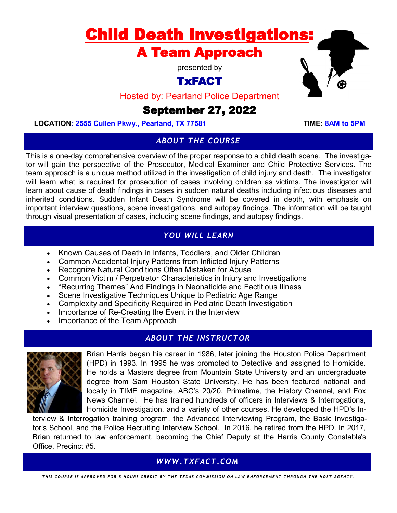# Child Death Investigations: A Team Approach

presented by

# TxFACT

Hosted by: Pearland Police Department

# September 27, 2022

LOCATION: 2555 Cullen Pkwy., Pearland, TX 77581 TIME: 8AM to 5PM

## *ABOUT THE COURSE*

This is a one-day comprehensive overview of the proper response to a child death scene. The investigator will gain the perspective of the Prosecutor, Medical Examiner and Child Protective Services. The team approach is a unique method utilized in the investigation of child injury and death. The investigator will learn what is required for prosecution of cases involving children as victims. The investigator will learn about cause of death findings in cases in sudden natural deaths including infectious diseases and inherited conditions. Sudden Infant Death Syndrome will be covered in depth, with emphasis on important interview questions, scene investigations, and autopsy findings. The information will be taught through visual presentation of cases, including scene findings, and autopsy findings.

## *YOU WILL LEARN*

- Known Causes of Death in Infants, Toddlers, and Older Children
- Common Accidental Injury Patterns from Inflicted Injury Patterns
- Recognize Natural Conditions Often Mistaken for Abuse
- Common Victim / Perpetrator Characteristics in Injury and Investigations
- "Recurring Themes" And Findings in Neonaticide and Factitious Illness
- Scene Investigative Techniques Unique to Pediatric Age Range
- Complexity and Specificity Required in Pediatric Death Investigation
- Importance of Re-Creating the Event in the Interview
- Importance of the Team Approach

# *ABOUT THE INSTRUCTOR*



Brian Harris began his career in 1986, later joining the Houston Police Department (HPD) in 1993. In 1995 he was promoted to Detective and assigned to Homicide. He holds a Masters degree from Mountain State University and an undergraduate degree from Sam Houston State University. He has been featured national and locally in TIME magazine, ABC's 20/20, Primetime, the History Channel, and Fox News Channel. He has trained hundreds of officers in Interviews & Interrogations, Homicide Investigation, and a variety of other courses. He developed the HPD's In-

terview & Interrogation training program, the Advanced Interviewing Program, the Basic Investigator's School, and the Police Recruiting Interview School. In 2016, he retired from the HPD. In 2017, Brian returned to law enforcement, becoming the Chief Deputy at the Harris County Constable's Office, Precinct #5.

## *WWW.TXFACT.COM*

*T H I S C O U R S E I S A P P R O V E D F O R 8 H O U R S C R E D I T B Y T H E T E X A S C O M M I S S I O N O N L A W E N F O R C E M E N T T H R O U G H T H E H O S T A G E N C Y .*